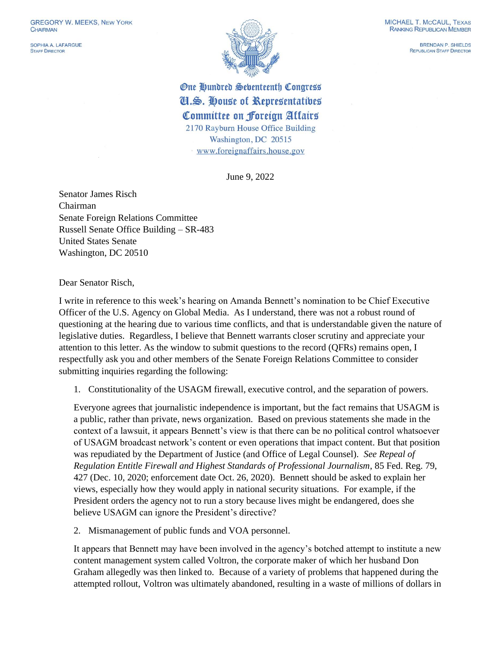SOPHIA A. LAFARGUE **STAFF DIRECTOR** 



BRENDAN P. SHIFLDS REPUBLICAN STAFF DIRECTOR

One Hundred Sebenteenth Congress Cl.S. House of Representatives Committee on Foreign Affairs 2170 Rayburn House Office Building Washington, DC 20515 www.foreignaffairs.house.gov

June 9, 2022

Senator James Risch Chairman Senate Foreign Relations Committee Russell Senate Office Building – SR-483 United States Senate Washington, DC 20510

Dear Senator Risch,

I write in reference to this week's hearing on Amanda Bennett's nomination to be Chief Executive Officer of the U.S. Agency on Global Media. As I understand, there was not a robust round of questioning at the hearing due to various time conflicts, and that is understandable given the nature of legislative duties. Regardless, I believe that Bennett warrants closer scrutiny and appreciate your attention to this letter. As the window to submit questions to the record (QFRs) remains open, I respectfully ask you and other members of the Senate Foreign Relations Committee to consider submitting inquiries regarding the following:

1. Constitutionality of the USAGM firewall, executive control, and the separation of powers.

Everyone agrees that journalistic independence is important, but the fact remains that USAGM is a public, rather than private, news organization. Based on previous statements she made in the context of a lawsuit, it appears Bennett's view is that there can be no political control whatsoever of USAGM broadcast network's content or even operations that impact content. But that position was repudiated by the Department of Justice (and Office of Legal Counsel). *See Repeal of Regulation Entitle Firewall and Highest Standards of Professional Journalism*, 85 Fed. Reg. 79, 427 (Dec. 10, 2020; enforcement date Oct. 26, 2020). Bennett should be asked to explain her views, especially how they would apply in national security situations. For example, if the President orders the agency not to run a story because lives might be endangered, does she believe USAGM can ignore the President's directive?

2. Mismanagement of public funds and VOA personnel.

It appears that Bennett may have been involved in the agency's botched attempt to institute a new content management system called Voltron, the corporate maker of which her husband Don Graham allegedly was then linked to. Because of a variety of problems that happened during the attempted rollout, Voltron was ultimately abandoned, resulting in a waste of millions of dollars in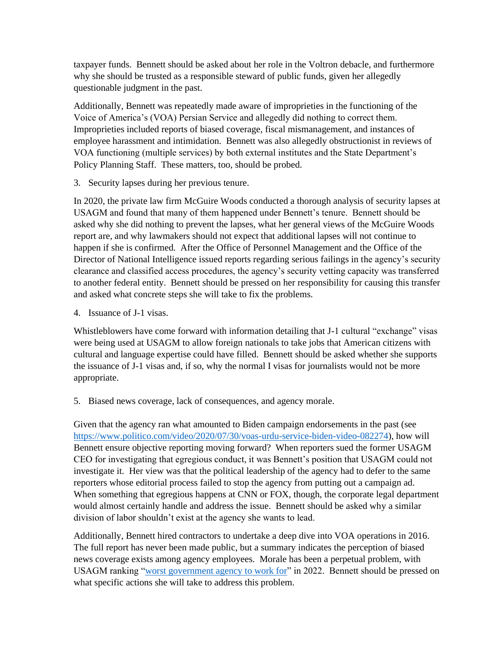taxpayer funds. Bennett should be asked about her role in the Voltron debacle, and furthermore why she should be trusted as a responsible steward of public funds, given her allegedly questionable judgment in the past.

Additionally, Bennett was repeatedly made aware of improprieties in the functioning of the Voice of America's (VOA) Persian Service and allegedly did nothing to correct them. Improprieties included reports of biased coverage, fiscal mismanagement, and instances of employee harassment and intimidation. Bennett was also allegedly obstructionist in reviews of VOA functioning (multiple services) by both external institutes and the State Department's Policy Planning Staff. These matters, too, should be probed.

3. Security lapses during her previous tenure.

In 2020, the private law firm McGuire Woods conducted a thorough analysis of security lapses at USAGM and found that many of them happened under Bennett's tenure. Bennett should be asked why she did nothing to prevent the lapses, what her general views of the McGuire Woods report are, and why lawmakers should not expect that additional lapses will not continue to happen if she is confirmed. After the Office of Personnel Management and the Office of the Director of National Intelligence issued reports regarding serious failings in the agency's security clearance and classified access procedures, the agency's security vetting capacity was transferred to another federal entity. Bennett should be pressed on her responsibility for causing this transfer and asked what concrete steps she will take to fix the problems.

4. Issuance of J-1 visas.

Whistleblowers have come forward with information detailing that J-1 cultural "exchange" visas were being used at USAGM to allow foreign nationals to take jobs that American citizens with cultural and language expertise could have filled. Bennett should be asked whether she supports the issuance of J-1 visas and, if so, why the normal I visas for journalists would not be more appropriate.

5. Biased news coverage, lack of consequences, and agency morale.

Given that the agency ran what amounted to Biden campaign endorsements in the past (see [https://www.politico.com/video/2020/07/30/voas-urdu-service-biden-video-082274\)](https://www.politico.com/video/2020/07/30/voas-urdu-service-biden-video-082274), how will Bennett ensure objective reporting moving forward? When reporters sued the former USAGM CEO for investigating that egregious conduct, it was Bennett's position that USAGM could not investigate it. Her view was that the political leadership of the agency had to defer to the same reporters whose editorial process failed to stop the agency from putting out a campaign ad. When something that egregious happens at CNN or FOX, though, the corporate legal department would almost certainly handle and address the issue. Bennett should be asked why a similar division of labor shouldn't exist at the agency she wants to lead.

Additionally, Bennett hired contractors to undertake a deep dive into VOA operations in 2016. The full report has never been made public, but a summary indicates the perception of biased news coverage exists among agency employees. Morale has been a perpetual problem, with USAGM ranking ["worst government agency to work for"](https://stacker.com/stories/4049/worst-government-agencies-work) in 2022. Bennett should be pressed on what specific actions she will take to address this problem.